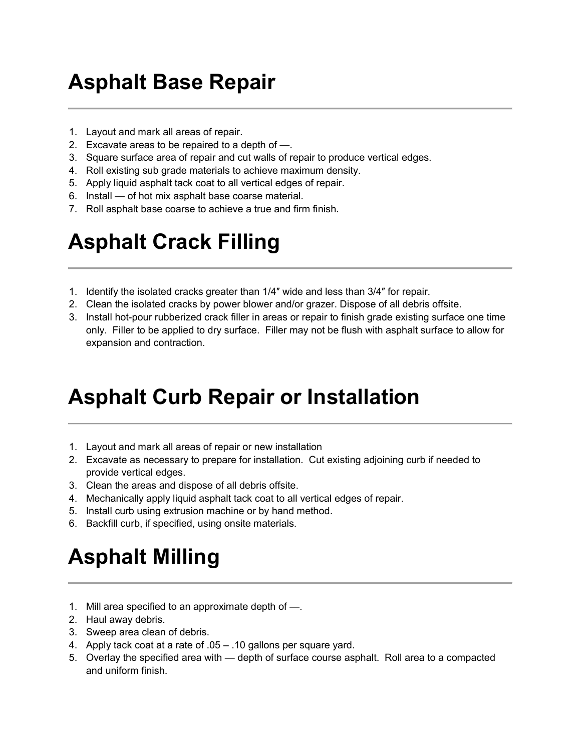## Asphalt Base Repair

- 1. Layout and mark all areas of repair.
- 2. Excavate areas to be repaired to a depth of —.
- 3. Square surface area of repair and cut walls of repair to produce vertical edges.
- 4. Roll existing sub grade materials to achieve maximum density.
- 5. Apply liquid asphalt tack coat to all vertical edges of repair.
- 6. Install of hot mix asphalt base coarse material.
- 7. Roll asphalt base coarse to achieve a true and firm finish.

## Asphalt Crack Filling

- 1. Identify the isolated cracks greater than 1/4″ wide and less than 3/4″ for repair.
- 2. Clean the isolated cracks by power blower and/or grazer. Dispose of all debris offsite.
- 3. Install hot-pour rubberized crack filler in areas or repair to finish grade existing surface one time only. Filler to be applied to dry surface. Filler may not be flush with asphalt surface to allow for expansion and contraction.

## Asphalt Curb Repair or Installation

- 1. Layout and mark all areas of repair or new installation
- 2. Excavate as necessary to prepare for installation. Cut existing adjoining curb if needed to provide vertical edges.
- 3. Clean the areas and dispose of all debris offsite.
- 4. Mechanically apply liquid asphalt tack coat to all vertical edges of repair.
- 5. Install curb using extrusion machine or by hand method.
- 6. Backfill curb, if specified, using onsite materials.

# Asphalt Milling

- 1. Mill area specified to an approximate depth of —.
- 2. Haul away debris.
- 3. Sweep area clean of debris.
- 4. Apply tack coat at a rate of .05 .10 gallons per square yard.
- 5. Overlay the specified area with depth of surface course asphalt. Roll area to a compacted and uniform finish.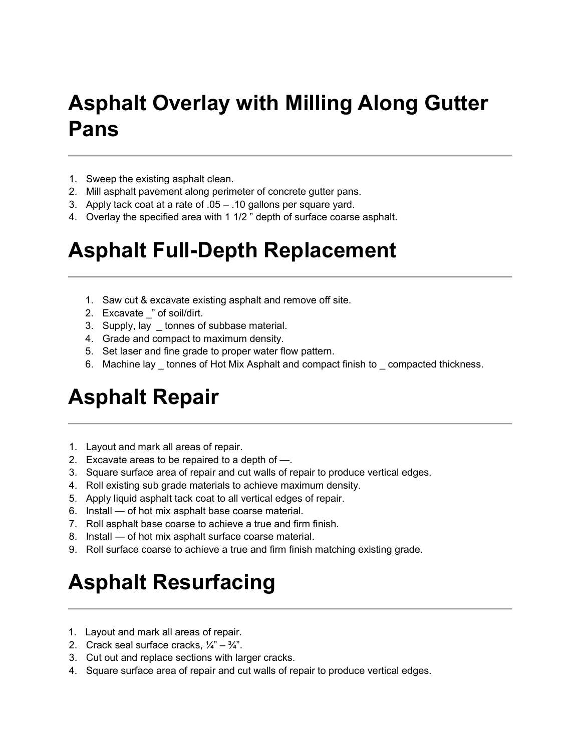# Asphalt Overlay with Milling Along Gutter Pans

- 1. Sweep the existing asphalt clean.
- 2. Mill asphalt pavement along perimeter of concrete gutter pans.
- 3. Apply tack coat at a rate of .05 .10 gallons per square yard.
- 4. Overlay the specified area with 1 1/2 " depth of surface coarse asphalt.

## Asphalt Full-Depth Replacement

- 1. Saw cut & excavate existing asphalt and remove off site.
- 2. Excavate \_" of soil/dirt.
- 3. Supply, lay \_ tonnes of subbase material.
- 4. Grade and compact to maximum density.
- 5. Set laser and fine grade to proper water flow pattern.
- 6. Machine lay \_ tonnes of Hot Mix Asphalt and compact finish to \_ compacted thickness.

## Asphalt Repair

- 1. Layout and mark all areas of repair.
- 2. Excavate areas to be repaired to a depth of —.
- 3. Square surface area of repair and cut walls of repair to produce vertical edges.
- 4. Roll existing sub grade materials to achieve maximum density.
- 5. Apply liquid asphalt tack coat to all vertical edges of repair.
- 6. Install of hot mix asphalt base coarse material.
- 7. Roll asphalt base coarse to achieve a true and firm finish.
- 8. Install of hot mix asphalt surface coarse material.
- 9. Roll surface coarse to achieve a true and firm finish matching existing grade.

# Asphalt Resurfacing

- 1. Layout and mark all areas of repair.
- 2. Crack seal surface cracks,  $\frac{1}{4}$ "  $\frac{3}{4}$ ".
- 3. Cut out and replace sections with larger cracks.
- 4. Square surface area of repair and cut walls of repair to produce vertical edges.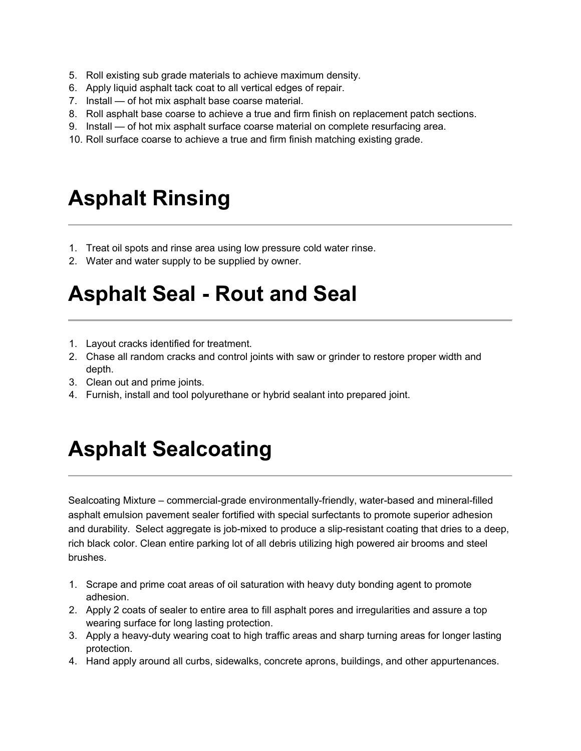- 5. Roll existing sub grade materials to achieve maximum density.
- 6. Apply liquid asphalt tack coat to all vertical edges of repair.
- 7. Install of hot mix asphalt base coarse material.
- 8. Roll asphalt base coarse to achieve a true and firm finish on replacement patch sections.
- 9. Install of hot mix asphalt surface coarse material on complete resurfacing area.
- 10. Roll surface coarse to achieve a true and firm finish matching existing grade.

## Asphalt Rinsing

- 1. Treat oil spots and rinse area using low pressure cold water rinse.
- 2. Water and water supply to be supplied by owner.

## Asphalt Seal - Rout and Seal

- 1. Layout cracks identified for treatment.
- 2. Chase all random cracks and control joints with saw or grinder to restore proper width and depth.
- 3. Clean out and prime joints.
- 4. Furnish, install and tool polyurethane or hybrid sealant into prepared joint.

## Asphalt Sealcoating

Sealcoating Mixture – commercial-grade environmentally-friendly, water-based and mineral-filled asphalt emulsion pavement sealer fortified with special surfectants to promote superior adhesion and durability. Select aggregate is job-mixed to produce a slip-resistant coating that dries to a deep, rich black color. Clean entire parking lot of all debris utilizing high powered air brooms and steel brushes.

- 1. Scrape and prime coat areas of oil saturation with heavy duty bonding agent to promote adhesion.
- 2. Apply 2 coats of sealer to entire area to fill asphalt pores and irregularities and assure a top wearing surface for long lasting protection.
- 3. Apply a heavy-duty wearing coat to high traffic areas and sharp turning areas for longer lasting protection.
- 4. Hand apply around all curbs, sidewalks, concrete aprons, buildings, and other appurtenances.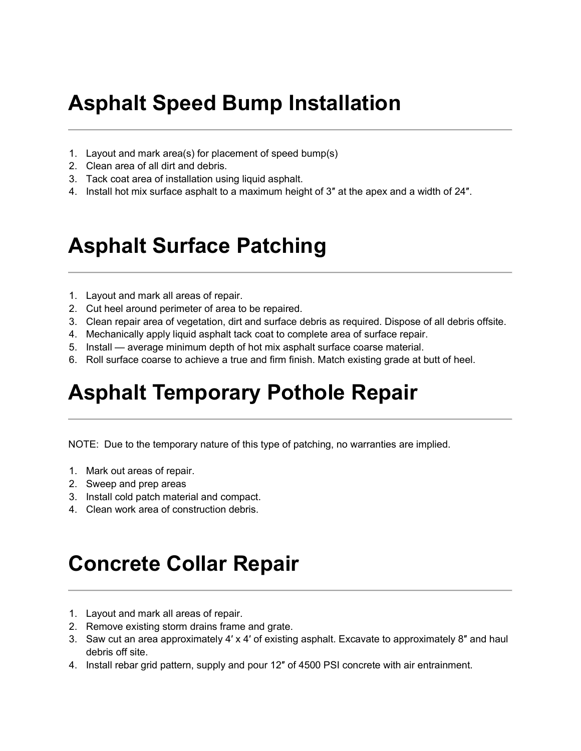# Asphalt Speed Bump Installation

- 1. Layout and mark area(s) for placement of speed bump(s)
- 2. Clean area of all dirt and debris.
- 3. Tack coat area of installation using liquid asphalt.
- 4. Install hot mix surface asphalt to a maximum height of 3″ at the apex and a width of 24″.

## Asphalt Surface Patching

- 1. Layout and mark all areas of repair.
- 2. Cut heel around perimeter of area to be repaired.
- 3. Clean repair area of vegetation, dirt and surface debris as required. Dispose of all debris offsite.
- 4. Mechanically apply liquid asphalt tack coat to complete area of surface repair.
- 5. Install average minimum depth of hot mix asphalt surface coarse material.
- 6. Roll surface coarse to achieve a true and firm finish. Match existing grade at butt of heel.

## Asphalt Temporary Pothole Repair

NOTE: Due to the temporary nature of this type of patching, no warranties are implied.

- 1. Mark out areas of repair.
- 2. Sweep and prep areas
- 3. Install cold patch material and compact.
- 4. Clean work area of construction debris.

## Concrete Collar Repair

- 1. Layout and mark all areas of repair.
- 2. Remove existing storm drains frame and grate.
- 3. Saw cut an area approximately 4′ x 4′ of existing asphalt. Excavate to approximately 8″ and haul debris off site.
- 4. Install rebar grid pattern, supply and pour 12″ of 4500 PSI concrete with air entrainment.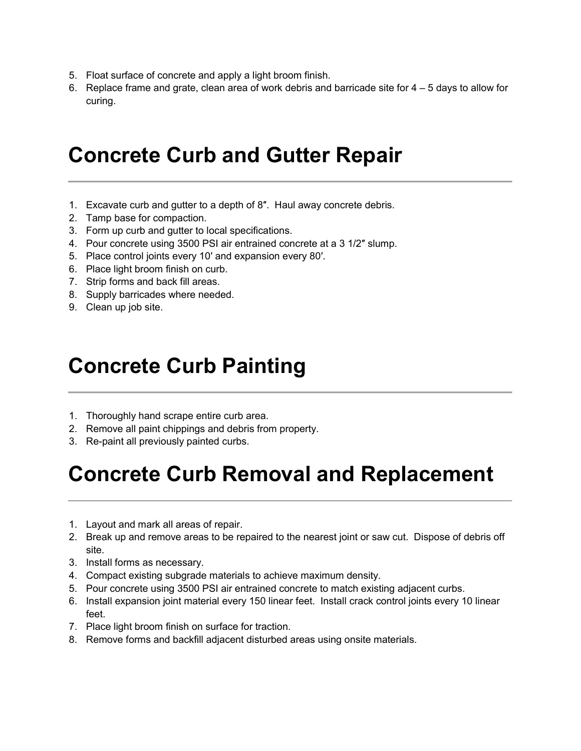- 5. Float surface of concrete and apply a light broom finish.
- 6. Replace frame and grate, clean area of work debris and barricade site for 4 5 days to allow for curing.

## Concrete Curb and Gutter Repair

- 1. Excavate curb and gutter to a depth of 8″. Haul away concrete debris.
- 2. Tamp base for compaction.
- 3. Form up curb and gutter to local specifications.
- 4. Pour concrete using 3500 PSI air entrained concrete at a 3 1/2″ slump.
- 5. Place control joints every 10′ and expansion every 80′.
- 6. Place light broom finish on curb.
- 7. Strip forms and back fill areas.
- 8. Supply barricades where needed.
- 9. Clean up job site.

## Concrete Curb Painting

- 1. Thoroughly hand scrape entire curb area.
- 2. Remove all paint chippings and debris from property.
- 3. Re-paint all previously painted curbs.

# Concrete Curb Removal and Replacement

- 1. Layout and mark all areas of repair.
- 2. Break up and remove areas to be repaired to the nearest joint or saw cut. Dispose of debris off site.
- 3. Install forms as necessary.
- 4. Compact existing subgrade materials to achieve maximum density.
- 5. Pour concrete using 3500 PSI air entrained concrete to match existing adjacent curbs.
- 6. Install expansion joint material every 150 linear feet. Install crack control joints every 10 linear feet.
- 7. Place light broom finish on surface for traction.
- 8. Remove forms and backfill adjacent disturbed areas using onsite materials.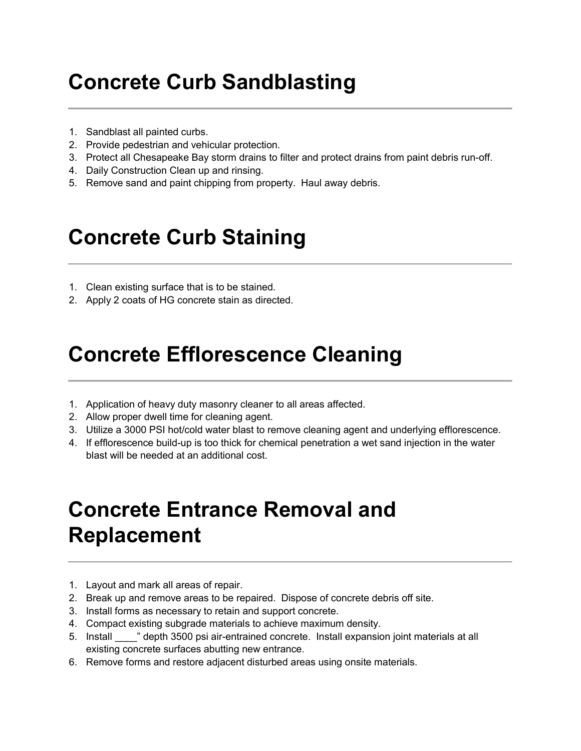# Concrete Curb Sandblasting

- 1. Sandblast all painted curbs.
- 2. Provide pedestrian and vehicular protection.
- 3. Protect all Chesapeake Bay storm drains to filter and protect drains from paint debris run-off.
- 4. Daily Construction Clean up and rinsing.
- 5. Remove sand and paint chipping from property. Haul away debris.

# Concrete Curb Staining

- 1. Clean existing surface that is to be stained.
- 2. Apply 2 coats of HG concrete stain as directed.

### Concrete Efflorescence Cleaning

- 1. Application of heavy duty masonry cleaner to all areas affected.
- 2. Allow proper dwell time for cleaning agent.
- 3. Utilize a 3000 PSI hot/cold water blast to remove cleaning agent and underlying efflorescence.
- 4. If efflorescence build-up is too thick for chemical penetration a wet sand injection in the water blast will be needed at an additional cost.

# Concrete Entrance Removal and Replacement

- 1. Layout and mark all areas of repair.
- 2. Break up and remove areas to be repaired. Dispose of concrete debris off site.
- 3. Install forms as necessary to retain and support concrete.
- 4. Compact existing subgrade materials to achieve maximum density.
- 5. Install \_\_\_\_" depth 3500 psi air-entrained concrete. Install expansion joint materials at all existing concrete surfaces abutting new entrance.
- 6. Remove forms and restore adjacent disturbed areas using onsite materials.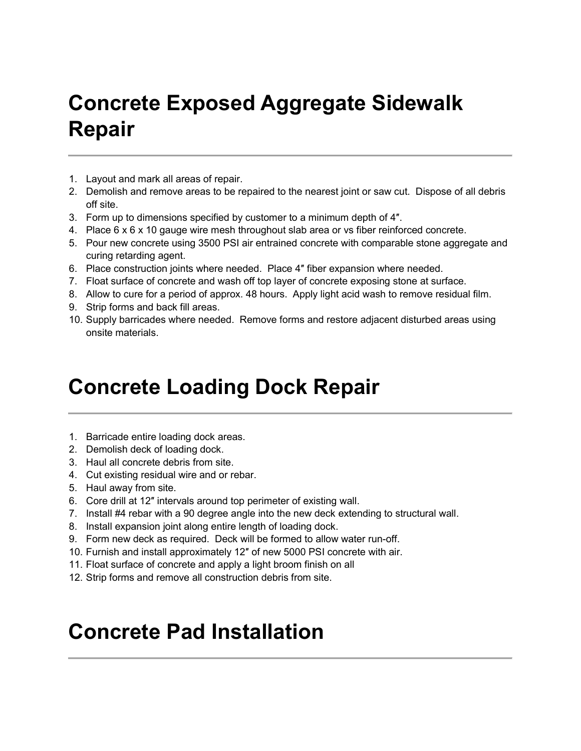# Concrete Exposed Aggregate Sidewalk Repair

- 1. Layout and mark all areas of repair.
- 2. Demolish and remove areas to be repaired to the nearest joint or saw cut. Dispose of all debris off site.
- 3. Form up to dimensions specified by customer to a minimum depth of 4″.
- 4. Place 6 x 6 x 10 gauge wire mesh throughout slab area or vs fiber reinforced concrete.
- 5. Pour new concrete using 3500 PSI air entrained concrete with comparable stone aggregate and curing retarding agent.
- 6. Place construction joints where needed. Place 4″ fiber expansion where needed.
- 7. Float surface of concrete and wash off top layer of concrete exposing stone at surface.
- 8. Allow to cure for a period of approx. 48 hours. Apply light acid wash to remove residual film.
- 9. Strip forms and back fill areas.
- 10. Supply barricades where needed. Remove forms and restore adjacent disturbed areas using onsite materials.

### Concrete Loading Dock Repair

- 1. Barricade entire loading dock areas.
- 2. Demolish deck of loading dock.
- 3. Haul all concrete debris from site.
- 4. Cut existing residual wire and or rebar.
- 5. Haul away from site.
- 6. Core drill at 12″ intervals around top perimeter of existing wall.
- 7. Install #4 rebar with a 90 degree angle into the new deck extending to structural wall.
- 8. Install expansion joint along entire length of loading dock.
- 9. Form new deck as required. Deck will be formed to allow water run-off.
- 10. Furnish and install approximately 12″ of new 5000 PSI concrete with air.
- 11. Float surface of concrete and apply a light broom finish on all
- 12. Strip forms and remove all construction debris from site.

### Concrete Pad Installation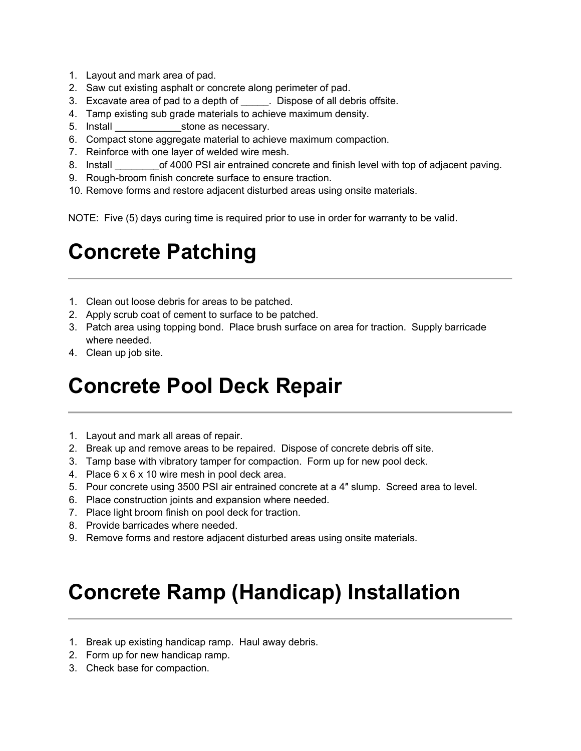- 1. Layout and mark area of pad.
- 2. Saw cut existing asphalt or concrete along perimeter of pad.
- 3. Excavate area of pad to a depth of . Dispose of all debris offsite.
- 4. Tamp existing sub grade materials to achieve maximum density.
- 5. Install stone as necessary.
- 6. Compact stone aggregate material to achieve maximum compaction.
- 7. Reinforce with one layer of welded wire mesh.
- 8. Install \_\_\_\_\_\_\_\_\_\_of 4000 PSI air entrained concrete and finish level with top of adjacent paving.
- 9. Rough-broom finish concrete surface to ensure traction.
- 10. Remove forms and restore adjacent disturbed areas using onsite materials.

NOTE: Five (5) days curing time is required prior to use in order for warranty to be valid.

## Concrete Patching

- 1. Clean out loose debris for areas to be patched.
- 2. Apply scrub coat of cement to surface to be patched.
- 3. Patch area using topping bond. Place brush surface on area for traction. Supply barricade where needed.
- 4. Clean up job site.

### Concrete Pool Deck Repair

- 1. Layout and mark all areas of repair.
- 2. Break up and remove areas to be repaired. Dispose of concrete debris off site.
- 3. Tamp base with vibratory tamper for compaction. Form up for new pool deck.
- 4. Place 6 x 6 x 10 wire mesh in pool deck area.
- 5. Pour concrete using 3500 PSI air entrained concrete at a 4″ slump. Screed area to level.
- 6. Place construction joints and expansion where needed.
- 7. Place light broom finish on pool deck for traction.
- 8. Provide barricades where needed.
- 9. Remove forms and restore adjacent disturbed areas using onsite materials.

# Concrete Ramp (Handicap) Installation

- 1. Break up existing handicap ramp. Haul away debris.
- 2. Form up for new handicap ramp.
- 3. Check base for compaction.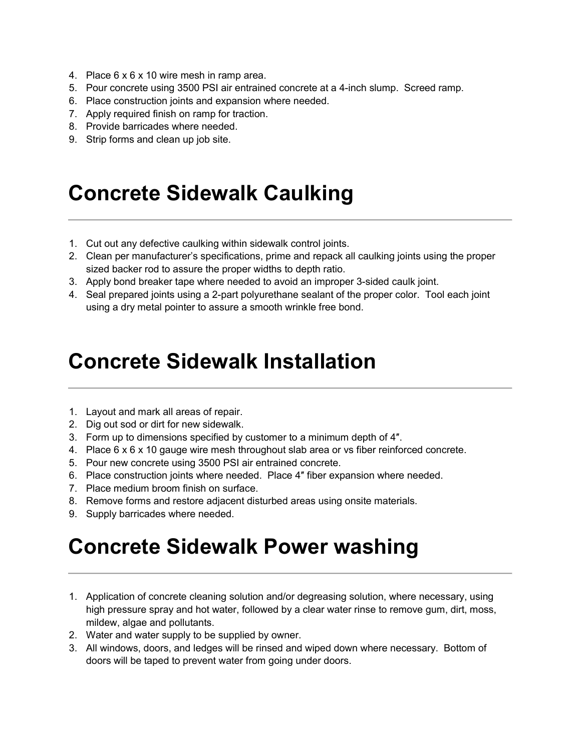- 4. Place 6 x 6 x 10 wire mesh in ramp area.
- 5. Pour concrete using 3500 PSI air entrained concrete at a 4-inch slump. Screed ramp.
- 6. Place construction joints and expansion where needed.
- 7. Apply required finish on ramp for traction.
- 8. Provide barricades where needed.
- 9. Strip forms and clean up job site.

### Concrete Sidewalk Caulking

- 1. Cut out any defective caulking within sidewalk control joints.
- 2. Clean per manufacturer's specifications, prime and repack all caulking joints using the proper sized backer rod to assure the proper widths to depth ratio.
- 3. Apply bond breaker tape where needed to avoid an improper 3-sided caulk joint.
- 4. Seal prepared joints using a 2-part polyurethane sealant of the proper color. Tool each joint using a dry metal pointer to assure a smooth wrinkle free bond.

#### Concrete Sidewalk Installation

- 1. Layout and mark all areas of repair.
- 2. Dig out sod or dirt for new sidewalk.
- 3. Form up to dimensions specified by customer to a minimum depth of 4″.
- 4. Place 6 x 6 x 10 gauge wire mesh throughout slab area or vs fiber reinforced concrete.
- 5. Pour new concrete using 3500 PSI air entrained concrete.
- 6. Place construction joints where needed. Place 4″ fiber expansion where needed.
- 7. Place medium broom finish on surface.
- 8. Remove forms and restore adjacent disturbed areas using onsite materials.
- 9. Supply barricades where needed.

## Concrete Sidewalk Power washing

- 1. Application of concrete cleaning solution and/or degreasing solution, where necessary, using high pressure spray and hot water, followed by a clear water rinse to remove gum, dirt, moss, mildew, algae and pollutants.
- 2. Water and water supply to be supplied by owner.
- 3. All windows, doors, and ledges will be rinsed and wiped down where necessary. Bottom of doors will be taped to prevent water from going under doors.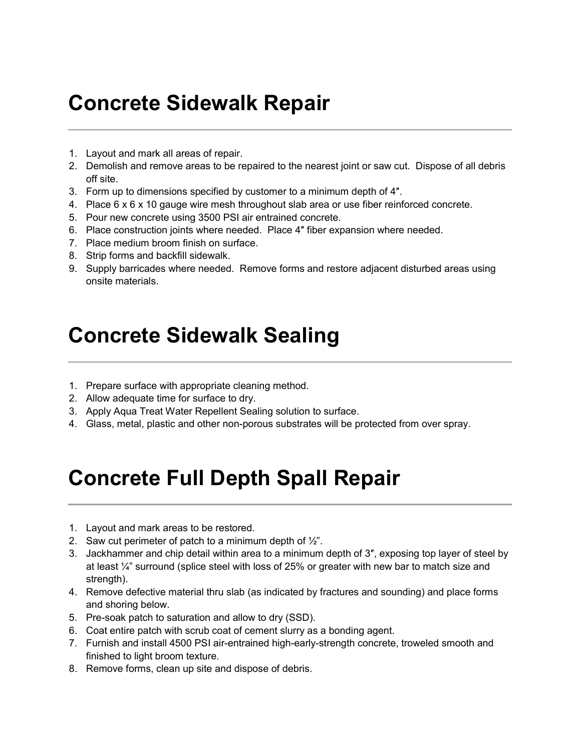# Concrete Sidewalk Repair

- 1. Layout and mark all areas of repair.
- 2. Demolish and remove areas to be repaired to the nearest joint or saw cut. Dispose of all debris off site.
- 3. Form up to dimensions specified by customer to a minimum depth of 4″.
- 4. Place 6 x 6 x 10 gauge wire mesh throughout slab area or use fiber reinforced concrete.
- 5. Pour new concrete using 3500 PSI air entrained concrete.
- 6. Place construction joints where needed. Place 4″ fiber expansion where needed.
- 7. Place medium broom finish on surface.
- 8. Strip forms and backfill sidewalk.
- 9. Supply barricades where needed. Remove forms and restore adjacent disturbed areas using onsite materials.

### Concrete Sidewalk Sealing

- 1. Prepare surface with appropriate cleaning method.
- 2. Allow adequate time for surface to dry.
- 3. Apply Aqua Treat Water Repellent Sealing solution to surface.
- 4. Glass, metal, plastic and other non-porous substrates will be protected from over spray.

# Concrete Full Depth Spall Repair

- 1. Layout and mark areas to be restored.
- 2. Saw cut perimeter of patch to a minimum depth of  $\frac{1}{2}$ .
- 3. Jackhammer and chip detail within area to a minimum depth of 3″, exposing top layer of steel by at least ¼" surround (splice steel with loss of 25% or greater with new bar to match size and strength).
- 4. Remove defective material thru slab (as indicated by fractures and sounding) and place forms and shoring below.
- 5. Pre-soak patch to saturation and allow to dry (SSD).
- 6. Coat entire patch with scrub coat of cement slurry as a bonding agent.
- 7. Furnish and install 4500 PSI air-entrained high-early-strength concrete, troweled smooth and finished to light broom texture.
- 8. Remove forms, clean up site and dispose of debris.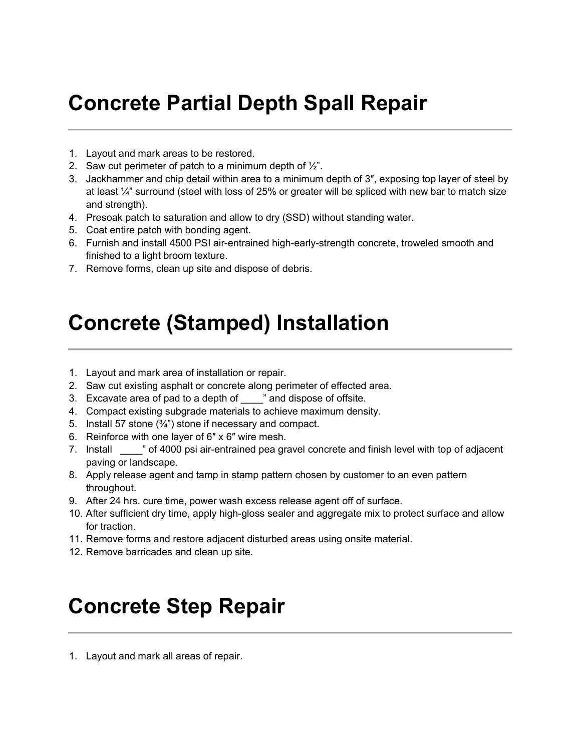# Concrete Partial Depth Spall Repair

- 1. Layout and mark areas to be restored.
- 2. Saw cut perimeter of patch to a minimum depth of  $\frac{1}{2}$ .
- 3. Jackhammer and chip detail within area to a minimum depth of 3″, exposing top layer of steel by at least ¼" surround (steel with loss of 25% or greater will be spliced with new bar to match size and strength).
- 4. Presoak patch to saturation and allow to dry (SSD) without standing water.
- 5. Coat entire patch with bonding agent.
- 6. Furnish and install 4500 PSI air-entrained high-early-strength concrete, troweled smooth and finished to a light broom texture.
- 7. Remove forms, clean up site and dispose of debris.

### Concrete (Stamped) Installation

- 1. Layout and mark area of installation or repair.
- 2. Saw cut existing asphalt or concrete along perimeter of effected area.
- 3. Excavate area of pad to a depth of "and dispose of offsite.
- 4. Compact existing subgrade materials to achieve maximum density.
- 5. Install 57 stone (¾") stone if necessary and compact.
- 6. Reinforce with one layer of 6″ x 6″ wire mesh.
- 7. Install  $\blacksquare$  of 4000 psi air-entrained pea gravel concrete and finish level with top of adjacent paving or landscape.
- 8. Apply release agent and tamp in stamp pattern chosen by customer to an even pattern throughout.
- 9. After 24 hrs. cure time, power wash excess release agent off of surface.
- 10. After sufficient dry time, apply high-gloss sealer and aggregate mix to protect surface and allow for traction.
- 11. Remove forms and restore adjacent disturbed areas using onsite material.
- 12. Remove barricades and clean up site.

## Concrete Step Repair

1. Layout and mark all areas of repair.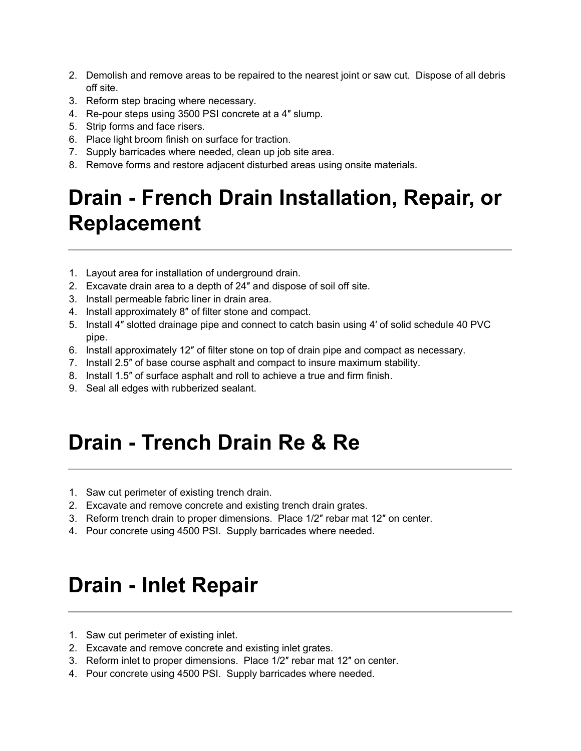- 2. Demolish and remove areas to be repaired to the nearest joint or saw cut. Dispose of all debris off site.
- 3. Reform step bracing where necessary.
- 4. Re-pour steps using 3500 PSI concrete at a 4″ slump.
- 5. Strip forms and face risers.
- 6. Place light broom finish on surface for traction.
- 7. Supply barricades where needed, clean up job site area.
- 8. Remove forms and restore adjacent disturbed areas using onsite materials.

# Drain - French Drain Installation, Repair, or Replacement

- 1. Layout area for installation of underground drain.
- 2. Excavate drain area to a depth of 24″ and dispose of soil off site.
- 3. Install permeable fabric liner in drain area.
- 4. Install approximately 8″ of filter stone and compact.
- 5. Install 4″ slotted drainage pipe and connect to catch basin using 4′ of solid schedule 40 PVC pipe.
- 6. Install approximately 12″ of filter stone on top of drain pipe and compact as necessary.
- 7. Install 2.5″ of base course asphalt and compact to insure maximum stability.
- 8. Install 1.5″ of surface asphalt and roll to achieve a true and firm finish.
- 9. Seal all edges with rubberized sealant.

# Drain - Trench Drain Re & Re

- 1. Saw cut perimeter of existing trench drain.
- 2. Excavate and remove concrete and existing trench drain grates.
- 3. Reform trench drain to proper dimensions. Place 1/2″ rebar mat 12″ on center.
- 4. Pour concrete using 4500 PSI. Supply barricades where needed.

# Drain - Inlet Repair

- 1. Saw cut perimeter of existing inlet.
- 2. Excavate and remove concrete and existing inlet grates.
- 3. Reform inlet to proper dimensions. Place 1/2″ rebar mat 12″ on center.
- 4. Pour concrete using 4500 PSI. Supply barricades where needed.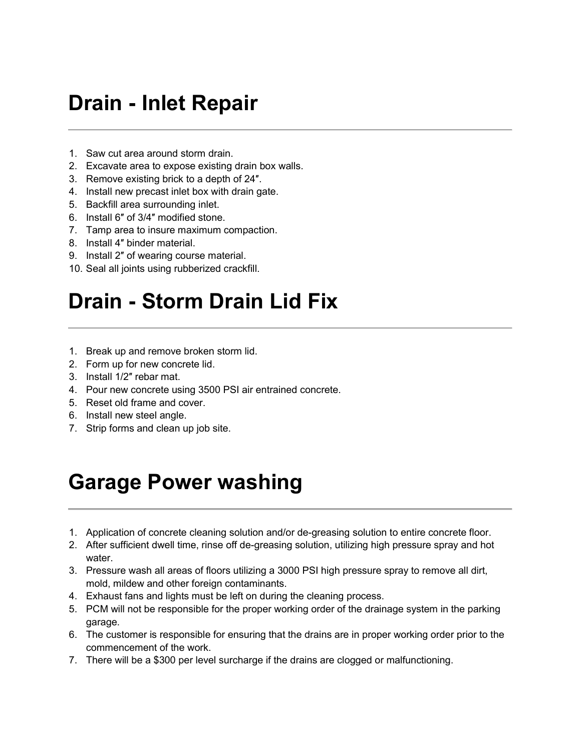## Drain - Inlet Repair

- 1. Saw cut area around storm drain.
- 2. Excavate area to expose existing drain box walls.
- 3. Remove existing brick to a depth of 24″.
- 4. Install new precast inlet box with drain gate.
- 5. Backfill area surrounding inlet.
- 6. Install 6″ of 3/4″ modified stone.
- 7. Tamp area to insure maximum compaction.
- 8. Install 4″ binder material.
- 9. Install 2″ of wearing course material.
- 10. Seal all joints using rubberized crackfill.

# Drain - Storm Drain Lid Fix

- 1. Break up and remove broken storm lid.
- 2. Form up for new concrete lid.
- 3. Install 1/2″ rebar mat.
- 4. Pour new concrete using 3500 PSI air entrained concrete.
- 5. Reset old frame and cover.
- 6. Install new steel angle.
- 7. Strip forms and clean up job site.

## Garage Power washing

- 1. Application of concrete cleaning solution and/or de-greasing solution to entire concrete floor.
- 2. After sufficient dwell time, rinse off de-greasing solution, utilizing high pressure spray and hot water.
- 3. Pressure wash all areas of floors utilizing a 3000 PSI high pressure spray to remove all dirt, mold, mildew and other foreign contaminants.
- 4. Exhaust fans and lights must be left on during the cleaning process.
- 5. PCM will not be responsible for the proper working order of the drainage system in the parking garage.
- 6. The customer is responsible for ensuring that the drains are in proper working order prior to the commencement of the work.
- 7. There will be a \$300 per level surcharge if the drains are clogged or malfunctioning.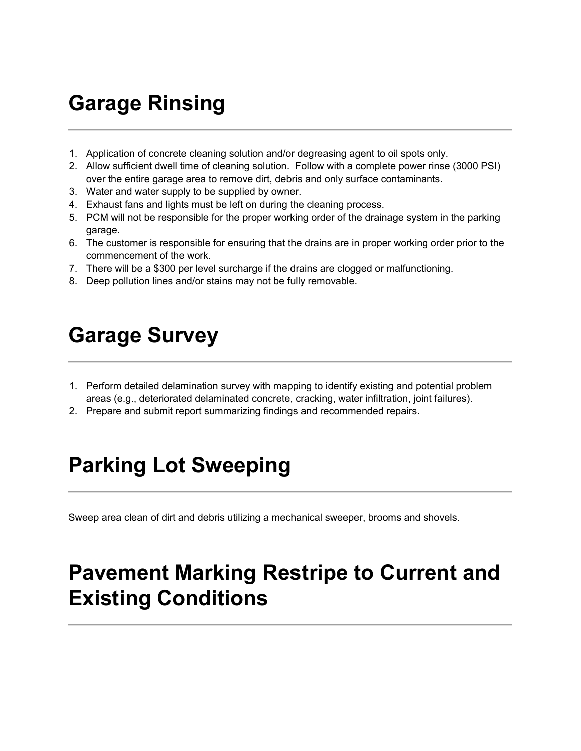# Garage Rinsing

- 1. Application of concrete cleaning solution and/or degreasing agent to oil spots only.
- 2. Allow sufficient dwell time of cleaning solution. Follow with a complete power rinse (3000 PSI) over the entire garage area to remove dirt, debris and only surface contaminants.
- 3. Water and water supply to be supplied by owner.
- 4. Exhaust fans and lights must be left on during the cleaning process.
- 5. PCM will not be responsible for the proper working order of the drainage system in the parking garage.
- 6. The customer is responsible for ensuring that the drains are in proper working order prior to the commencement of the work.
- 7. There will be a \$300 per level surcharge if the drains are clogged or malfunctioning.
- 8. Deep pollution lines and/or stains may not be fully removable.

## Garage Survey

- 1. Perform detailed delamination survey with mapping to identify existing and potential problem areas (e.g., deteriorated delaminated concrete, cracking, water infiltration, joint failures).
- 2. Prepare and submit report summarizing findings and recommended repairs.

# Parking Lot Sweeping

Sweep area clean of dirt and debris utilizing a mechanical sweeper, brooms and shovels.

# Pavement Marking Restripe to Current and Existing Conditions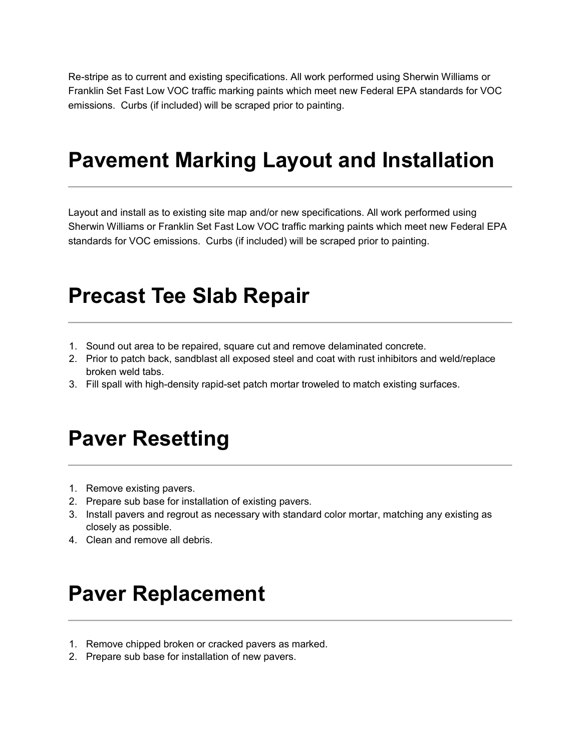Re-stripe as to current and existing specifications. All work performed using Sherwin Williams or Franklin Set Fast Low VOC traffic marking paints which meet new Federal EPA standards for VOC emissions. Curbs (if included) will be scraped prior to painting.

#### Pavement Marking Layout and Installation

Layout and install as to existing site map and/or new specifications. All work performed using Sherwin Williams or Franklin Set Fast Low VOC traffic marking paints which meet new Federal EPA standards for VOC emissions. Curbs (if included) will be scraped prior to painting.

#### Precast Tee Slab Repair

- 1. Sound out area to be repaired, square cut and remove delaminated concrete.
- 2. Prior to patch back, sandblast all exposed steel and coat with rust inhibitors and weld/replace broken weld tabs.
- 3. Fill spall with high-density rapid-set patch mortar troweled to match existing surfaces.

### Paver Resetting

- 1. Remove existing pavers.
- 2. Prepare sub base for installation of existing pavers.
- 3. Install pavers and regrout as necessary with standard color mortar, matching any existing as closely as possible.
- 4. Clean and remove all debris.

#### Paver Replacement

- 1. Remove chipped broken or cracked pavers as marked.
- 2. Prepare sub base for installation of new pavers.